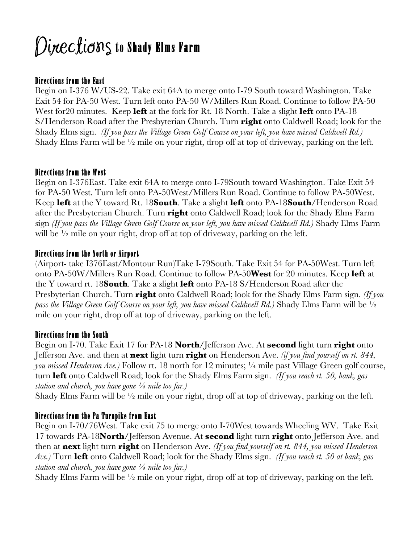# $\emph{Di}$ nec $\emph{t}$ io $\emph{m}$ s to Shady Elms Farm

## Directions from the East

Begin on I-376 W/US-22. Take exit 64A to merge onto I-79 South toward Washington. Take Exit 54 for PA-50 West. Turn left onto PA-50 W/Millers Run Road. Continue to follow PA-50 West for20 minutes. Keep **left** at the fork for Rt. 18 North. Take a slight **left** onto PA-18 S/Henderson Road after the Presbyterian Church. Turn **right** onto Caldwell Road; look for the Shady Elms sign. *(If you pass the Village Green Golf Course on your left, you have missed Caldwell Rd.)* Shady Elms Farm will be  $\frac{1}{2}$  mile on your right, drop of at top of driveway, parking on the left.

#### Directions from the West

Begin on I-376East. Take exit 64A to merge onto I-79South toward Washington. Take Exit 54 for PA-50 West. Turn left onto PA-50West/Millers Run Road. Continue to follow PA-50West. Keep **left** at the Y toward Rt. 18**South**. Take a slight **left** onto PA-18**South**/Henderson Road after the Presbyterian Church. Turn **right** onto Caldwell Road; look for the Shady Elms Farm sign *(If you pass the Village Green Golf Course on your left, you have missed Caldwell Rd.)* Shady Elms Farm will be <sup>1</sup>/<sub>2</sub> mile on your right, drop off at top of driveway, parking on the left.

#### Directions from the North or Airport

(Airport- take I376East/Montour Run)Take I-79South. Take Exit 54 for PA-50West. Turn left onto PA-50W/Millers Run Road. Continue to follow PA-50**West** for 20 minutes. Keep **left** at the Y toward rt. 18**South**. Take a slight **left** onto PA-18 S/Henderson Road after the Presbyterian Church. Turn **right** onto Caldwell Road; look for the Shady Elms Farm sign. *(If you pass the Village Green Golf Course on your left, you have missed Caldwell Rd.)* Shady Elms Farm will be ½ mile on your right, drop off at top of driveway, parking on the left.

#### Directions from the South

Begin on I-70. Take Exit 17 for PA-18 **North**/Jefferson Ave. At **second** light turn **right** onto Jefferson Ave. and then at **next** light turn **right** on Henderson Ave. *(if you find yourself on rt. 844, you missed Henderson Ave.)* Follow rt. 18 north for 12 minutes; ¼ mile past Village Green golf course, turn **left** onto Caldwell Road; look for the Shady Elms Farm sign. *(If you reach rt. 50, bank, gas station and church, you have gone ¼ mile too far.)*

Shady Elms Farm will be  $\frac{1}{2}$  mile on your right, drop off at top of driveway, parking on the left.

#### Directions from the Pa Turnpike from East

Begin on I-70/76West. Take exit 75 to merge onto I-70West towards Wheeling WV. Take Exit 17 towards PA-18**North**/Jefferson Avenue. At **second** light turn **right** onto Jefferson Ave. and then at **next** light turn **right** on Henderson Ave. *(If you find yourself on rt. 844, you missed Henderson Ave.)* Turn **left** onto Caldwell Road; look for the Shady Elms sign. *(If you reach rt. 50 at bank, gas station and church, you have gone ¼ mile too far.)*

Shady Elms Farm will be  $\frac{1}{2}$  mile on your right, drop off at top of driveway, parking on the left.